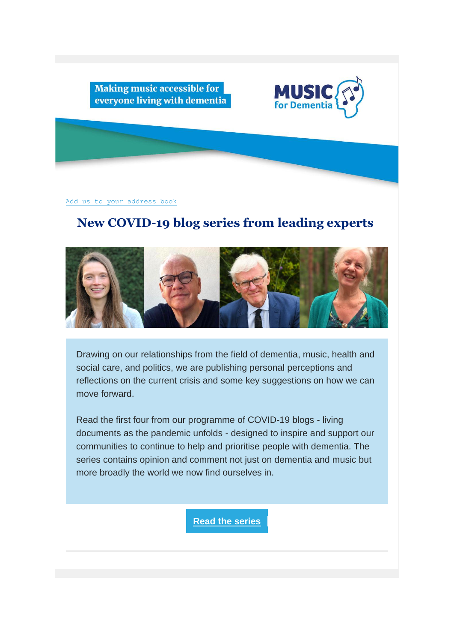

Making music accessible for everyone living with dementia

[Add us to your address book](https://musicfordementia2020.us20.list-manage.com/vcard?u=d8f4dac8800d08a3320e4bca1&id=b671232ff5)

## **New COVID-19 blog series from leading experts**



Drawing on our relationships from the field of dementia, music, health and social care, and politics, we are publishing personal perceptions and reflections on the current crisis and some key suggestions on how we can move forward.

Read the first four from our programme of COVID-19 blogs - living documents as the pandemic unfolds - designed to inspire and support our communities to continue to help and prioritise people with dementia. The series contains opinion and comment not just on dementia and music but more broadly the world we now find ourselves in.

**[Read the series](https://musicfordementia2020.us20.list-manage.com/track/click?u=d8f4dac8800d08a3320e4bca1&id=3e01049e2f&e=b882cc30b8)**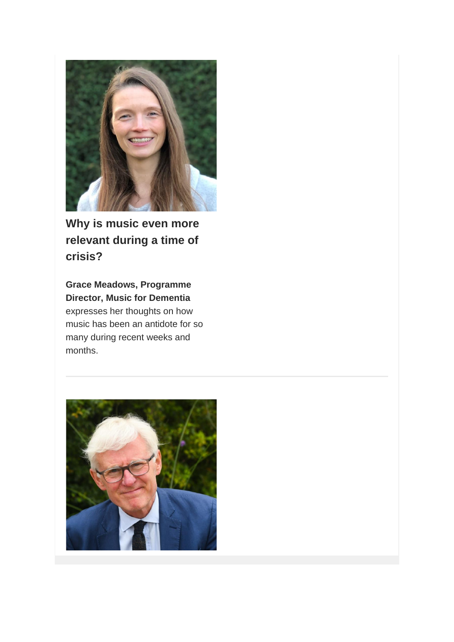

**Why is music even more relevant during a time of crisis?**

**Grace Meadows, Programme Director, Music for Dementia** expresses her thoughts on how music has been an antidote for so many during recent weeks and months.

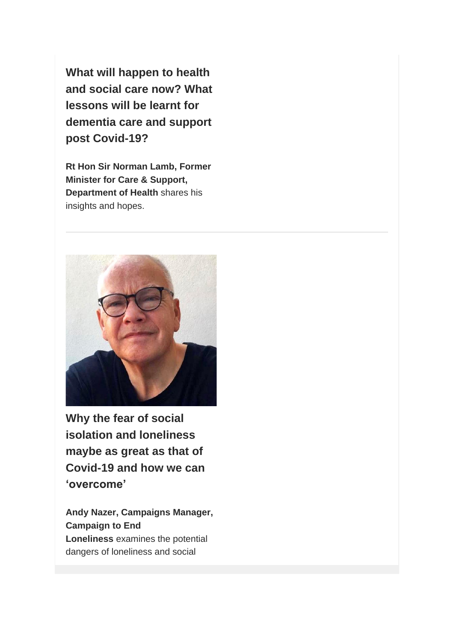**What will happen to health and social care now? What lessons will be learnt for dementia care and support post Covid-19?**

**Rt Hon Sir Norman Lamb, Former Minister for Care & Support, Department of Health** shares his insights and hopes.



**Why the fear of social isolation and loneliness maybe as great as that of Covid-19 and how we can 'overcome'**

**Andy Nazer, Campaigns Manager, Campaign to End Loneliness** examines the potential dangers of loneliness and social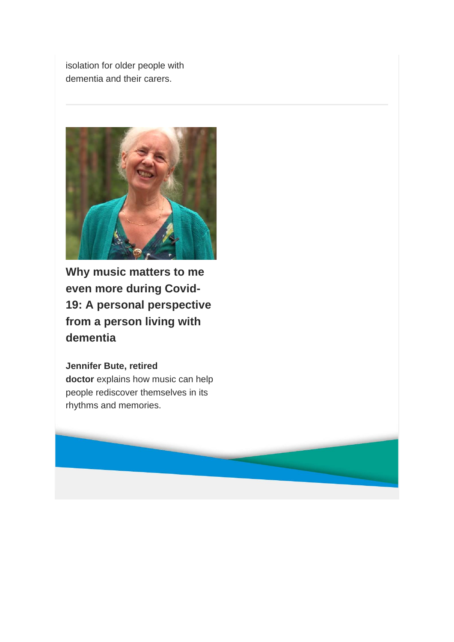isolation for older people with dementia and their carers.



**Why music matters to me even more during Covid-19: A personal perspective from a person living with dementia**

**Jennifer Bute, retired doctor** explains how music can help people rediscover themselves in its rhythms and memories.